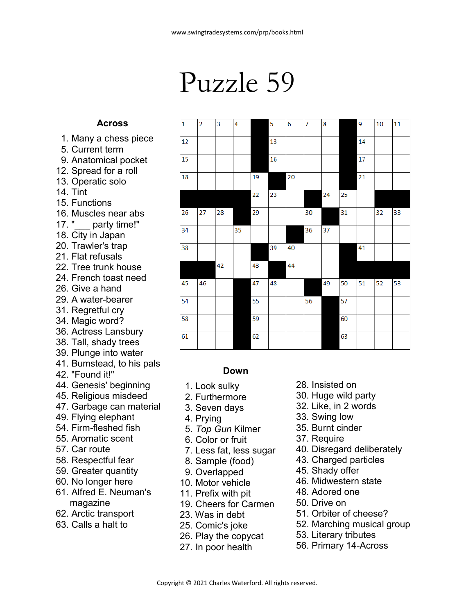## Puzzle 59

## **Across**

- 1. Many a chess piece
- 5. Current term
- 9. Anatomical pocket
- 12. Spread for a roll
- 13. Operatic solo
- 14. Tint
- 15. Functions
- 16. Muscles near abs
- 17. "\_\_\_ party time!" 18. City in Japan
- 20. Trawler's trap
- 21. Flat refusals
- 22. Tree trunk house
- 24. French toast need
- 26. Give a hand
- 29. A water-bearer
- 31. Regretful cry
- 34. Magic word?
- 36. Actress Lansbury
- 38. Tall, shady trees
- 39. Plunge into water
- 41. Bumstead, to his pals
- 42. "Found it!"
- 44. Genesis' beginning
- 45. Religious misdeed
- 47. Garbage can material
- 49. Flying elephant
- 54. Firm-fleshed fish
- 55. Aromatic scent
- 57. Car route
- 58. Respectful fear
- 59. Greater quantity
- 60. No longer here
- 61. Alfred E. Neuman's magazine
- 62. Arctic transport
- 63. Calls a halt to

| $\mathbf{1}$ | $\overline{2}$ | 3  | 4  |    | 5  | $\overline{6}$ | $\overline{7}$ | 8  |    | 9               | 10 | 11 |
|--------------|----------------|----|----|----|----|----------------|----------------|----|----|-----------------|----|----|
| 12           |                |    |    |    | 13 |                |                |    |    | 14              |    |    |
| 15           |                |    |    |    | 16 |                |                |    |    | 17              |    |    |
| 18           |                |    |    | 19 |    | 20             |                |    |    | $\overline{21}$ |    |    |
|              |                |    |    | 22 | 23 |                |                | 24 | 25 |                 |    |    |
| 26           | 27             | 28 |    | 29 |    |                | 30             |    | 31 |                 | 32 | 33 |
| 34           |                |    | 35 |    |    |                | 36             | 37 |    |                 |    |    |
| 38           |                |    |    |    | 39 | 40             |                |    |    | 41              |    |    |
|              |                | 42 |    | 43 |    | 44             |                |    |    |                 |    |    |
| 45           | 46             |    |    | 47 | 48 |                |                | 49 | 50 | 51              | 52 | 53 |
| 54           |                |    |    | 55 |    |                | 56             |    | 57 |                 |    |    |
| 58           |                |    |    | 59 |    |                |                |    | 60 |                 |    |    |
| 61           |                |    |    | 62 |    |                |                |    | 63 |                 |    |    |

## **Down**

- 1. Look sulky
- 2. Furthermore
- 3. Seven days
- 4. Prying
- 5. *Top Gun* Kilmer
- 6. Color or fruit
- 7. Less fat, less sugar
- 8. Sample (food)
- 9. Overlapped
- 10. Motor vehicle
- 11. Prefix with pit
- 19. Cheers for Carmen
- 23. Was in debt
- 25. Comic's joke
- 26. Play the copycat
- 27. In poor health
- 28. Insisted on
- 30. Huge wild party
- 32. Like, in 2 words
- 33. Swing low
- 35. Burnt cinder
- 37. Require
- 40. Disregard deliberately
- 43. Charged particles
- 45. Shady offer
- 46. Midwestern state
- 48. Adored one
- 50. Drive on
- 51. Orbiter of cheese?
- 52. Marching musical group
- 53. Literary tributes
- 56. Primary 14-Across